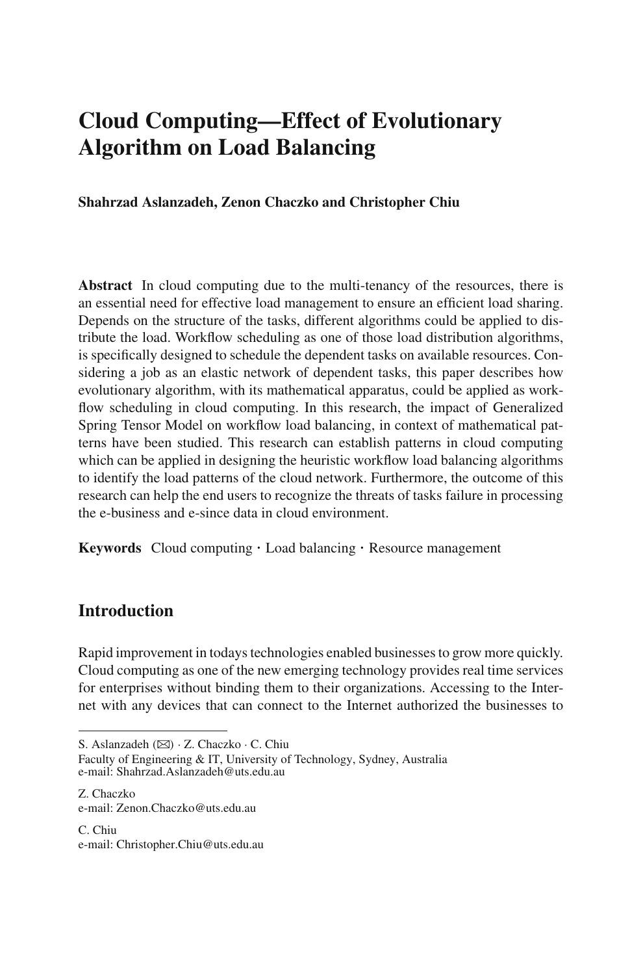# **Cloud Computing—Effect of Evolutionary Algorithm on Load Balancing**

**Shahrzad Aslanzadeh, Zenon Chaczko and Christopher Chiu**

**Abstract** In cloud computing due to the multi-tenancy of the resources, there is an essential need for effective load management to ensure an efficient load sharing. Depends on the structure of the tasks, different algorithms could be applied to distribute the load. Workflow scheduling as one of those load distribution algorithms, is specifically designed to schedule the dependent tasks on available resources. Considering a job as an elastic network of dependent tasks, this paper describes how evolutionary algorithm, with its mathematical apparatus, could be applied as workflow scheduling in cloud computing. In this research, the impact of Generalized Spring Tensor Model on workflow load balancing, in context of mathematical patterns have been studied. This research can establish patterns in cloud computing which can be applied in designing the heuristic workflow load balancing algorithms to identify the load patterns of the cloud network. Furthermore, the outcome of this research can help the end users to recognize the threats of tasks failure in processing the e-business and e-since data in cloud environment.

**Keywords** Cloud computing · Load balancing · Resource management

# **Introduction**

Rapid improvement in todaystechnologies enabled businessesto grow more quickly. Cloud computing as one of the new emerging technology provides real time services for enterprises without binding them to their organizations. Accessing to the Internet with any devices that can connect to the Internet authorized the businesses to

Z. Chaczko e-mail: Zenon.Chaczko@uts.edu.au

S. Aslanzadeh (B) · Z. Chaczko · C. Chiu

Faculty of Engineering & IT, University of Technology, Sydney, Australia e-mail: Shahrzad.Aslanzadeh@uts.edu.au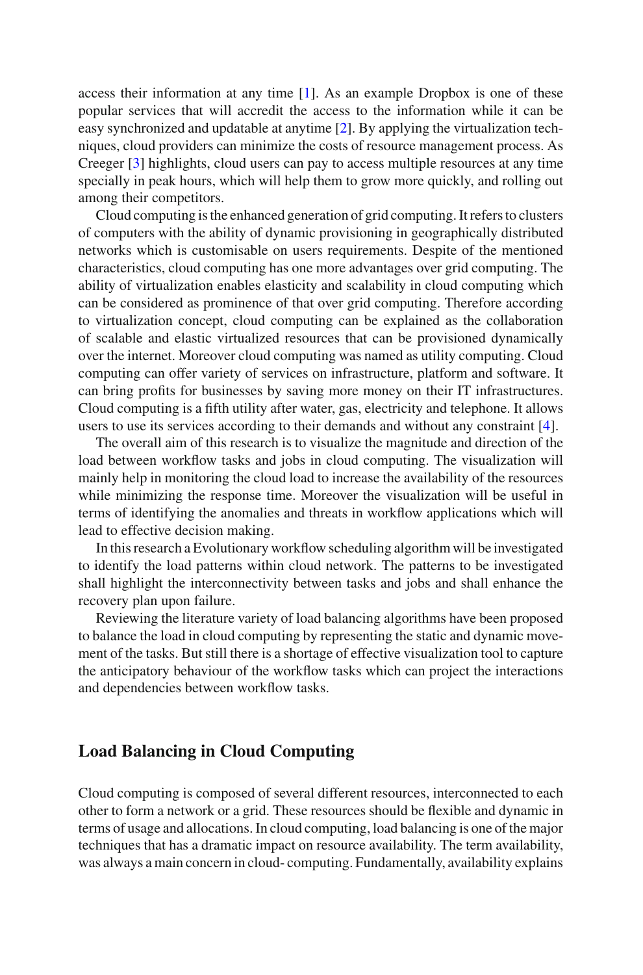access their information at any time [\[1](#page-7-0)]. As an example Dropbox is one of these popular services that will accredit the access to the information while it can be easy synchronized and updatable at anytime [\[2](#page-7-1)]. By applying the virtualization techniques, cloud providers can minimize the costs of resource management process. As Creeger [\[3\]](#page-7-2) highlights, cloud users can pay to access multiple resources at any time specially in peak hours, which will help them to grow more quickly, and rolling out among their competitors.

Cloud computing isthe enhanced generation of grid computing.Itrefersto clusters of computers with the ability of dynamic provisioning in geographically distributed networks which is customisable on users requirements. Despite of the mentioned characteristics, cloud computing has one more advantages over grid computing. The ability of virtualization enables elasticity and scalability in cloud computing which can be considered as prominence of that over grid computing. Therefore according to virtualization concept, cloud computing can be explained as the collaboration of scalable and elastic virtualized resources that can be provisioned dynamically over the internet. Moreover cloud computing was named as utility computing. Cloud computing can offer variety of services on infrastructure, platform and software. It can bring profits for businesses by saving more money on their IT infrastructures. Cloud computing is a fifth utility after water, gas, electricity and telephone. It allows users to use its services according to their demands and without any constraint [\[4](#page-7-3)].

The overall aim of this research is to visualize the magnitude and direction of the load between workflow tasks and jobs in cloud computing. The visualization will mainly help in monitoring the cloud load to increase the availability of the resources while minimizing the response time. Moreover the visualization will be useful in terms of identifying the anomalies and threats in workflow applications which will lead to effective decision making.

In thisresearch a Evolutionary workflow scheduling algorithmwill be investigated to identify the load patterns within cloud network. The patterns to be investigated shall highlight the interconnectivity between tasks and jobs and shall enhance the recovery plan upon failure.

Reviewing the literature variety of load balancing algorithms have been proposed to balance the load in cloud computing by representing the static and dynamic movement of the tasks. But still there is a shortage of effective visualization tool to capture the anticipatory behaviour of the workflow tasks which can project the interactions and dependencies between workflow tasks.

## **Load Balancing in Cloud Computing**

Cloud computing is composed of several different resources, interconnected to each other to form a network or a grid. These resources should be flexible and dynamic in terms of usage and allocations. In cloud computing, load balancing is one of the major techniques that has a dramatic impact on resource availability. The term availability, was always amain concern in cloud- computing. Fundamentally, availability explains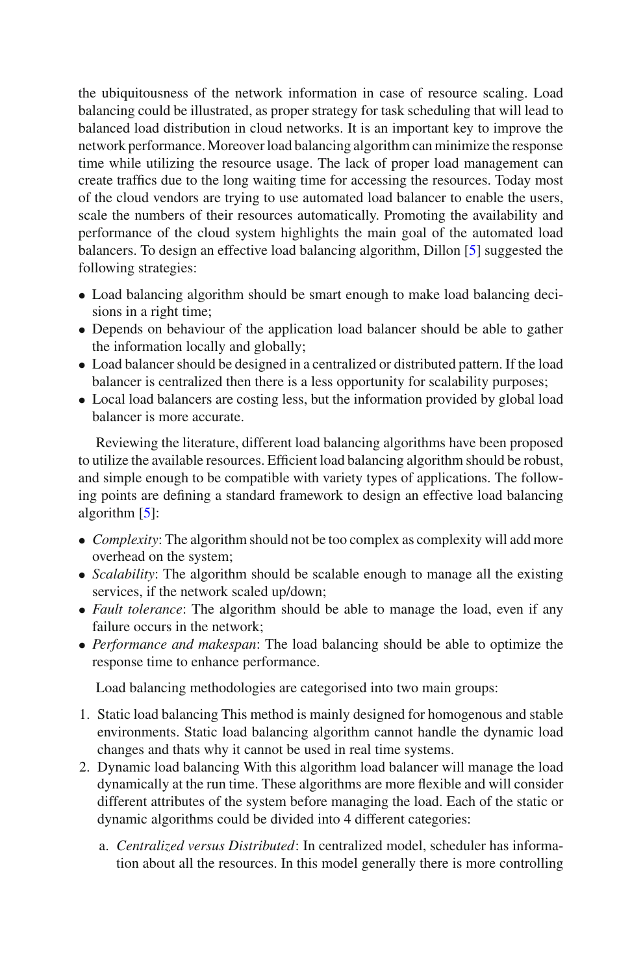the ubiquitousness of the network information in case of resource scaling. Load balancing could be illustrated, as proper strategy for task scheduling that will lead to balanced load distribution in cloud networks. It is an important key to improve the network performance. Moreover load balancing algorithm can minimize the response time while utilizing the resource usage. The lack of proper load management can create traffics due to the long waiting time for accessing the resources. Today most of the cloud vendors are trying to use automated load balancer to enable the users, scale the numbers of their resources automatically. Promoting the availability and performance of the cloud system highlights the main goal of the automated load balancers. To design an effective load balancing algorithm, Dillon [\[5\]](#page-7-4) suggested the following strategies:

- Load balancing algorithm should be smart enough to make load balancing decisions in a right time;
- Depends on behaviour of the application load balancer should be able to gather the information locally and globally;
- Load balancer should be designed in a centralized or distributed pattern. If the load balancer is centralized then there is a less opportunity for scalability purposes;
- Local load balancers are costing less, but the information provided by global load balancer is more accurate.

Reviewing the literature, different load balancing algorithms have been proposed to utilize the available resources. Efficient load balancing algorithm should be robust, and simple enough to be compatible with variety types of applications. The following points are defining a standard framework to design an effective load balancing algorithm  $[5]$  $[5]$ :

- *Complexity*: The algorithm should not be too complex as complexity will add more overhead on the system;
- *Scalability*: The algorithm should be scalable enough to manage all the existing services, if the network scaled up/down;
- *Fault tolerance*: The algorithm should be able to manage the load, even if any failure occurs in the network;
- *Performance and makespan*: The load balancing should be able to optimize the response time to enhance performance.

Load balancing methodologies are categorised into two main groups:

- 1. Static load balancing This method is mainly designed for homogenous and stable environments. Static load balancing algorithm cannot handle the dynamic load changes and thats why it cannot be used in real time systems.
- 2. Dynamic load balancing With this algorithm load balancer will manage the load dynamically at the run time. These algorithms are more flexible and will consider different attributes of the system before managing the load. Each of the static or dynamic algorithms could be divided into 4 different categories:
	- a. *Centralized versus Distributed*: In centralized model, scheduler has information about all the resources. In this model generally there is more controlling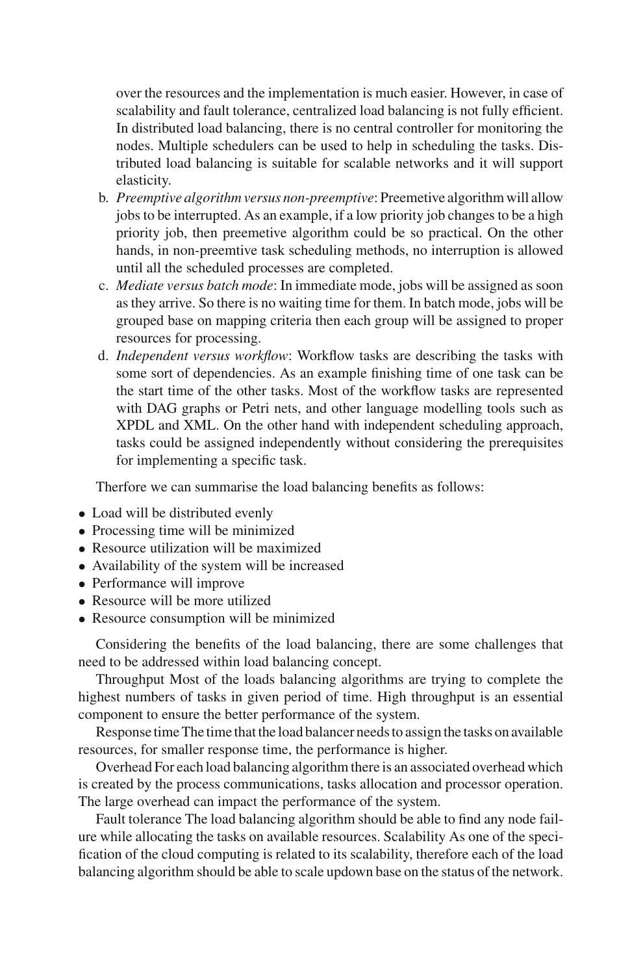over the resources and the implementation is much easier. However, in case of scalability and fault tolerance, centralized load balancing is not fully efficient. In distributed load balancing, there is no central controller for monitoring the nodes. Multiple schedulers can be used to help in scheduling the tasks. Distributed load balancing is suitable for scalable networks and it will support elasticity.

- b. *Preemptive algorithm versus non-preemptive*: Preemetive algorithm will allow jobs to be interrupted. As an example, if a low priority job changes to be a high priority job, then preemetive algorithm could be so practical. On the other hands, in non-preemtive task scheduling methods, no interruption is allowed until all the scheduled processes are completed.
- c. *Mediate versus batch mode*: In immediate mode, jobs will be assigned as soon as they arrive. So there is no waiting time for them. In batch mode, jobs will be grouped base on mapping criteria then each group will be assigned to proper resources for processing.
- d. *Independent versus workflow*: Workflow tasks are describing the tasks with some sort of dependencies. As an example finishing time of one task can be the start time of the other tasks. Most of the workflow tasks are represented with DAG graphs or Petri nets, and other language modelling tools such as XPDL and XML. On the other hand with independent scheduling approach, tasks could be assigned independently without considering the prerequisites for implementing a specific task.

Therfore we can summarise the load balancing benefits as follows:

- Load will be distributed evenly
- Processing time will be minimized
- Resource utilization will be maximized
- Availability of the system will be increased
- Performance will improve
- Resource will be more utilized
- Resource consumption will be minimized

Considering the benefits of the load balancing, there are some challenges that need to be addressed within load balancing concept.

Throughput Most of the loads balancing algorithms are trying to complete the highest numbers of tasks in given period of time. High throughput is an essential component to ensure the better performance of the system.

Response time The time that the load balancer needs to assign the tasks on available resources, for smaller response time, the performance is higher.

Overhead For each load balancing algorithm there is an associated overhead which is created by the process communications, tasks allocation and processor operation. The large overhead can impact the performance of the system.

Fault tolerance The load balancing algorithm should be able to find any node failure while allocating the tasks on available resources. Scalability As one of the specification of the cloud computing is related to its scalability, therefore each of the load balancing algorithm should be able to scale updown base on the status of the network.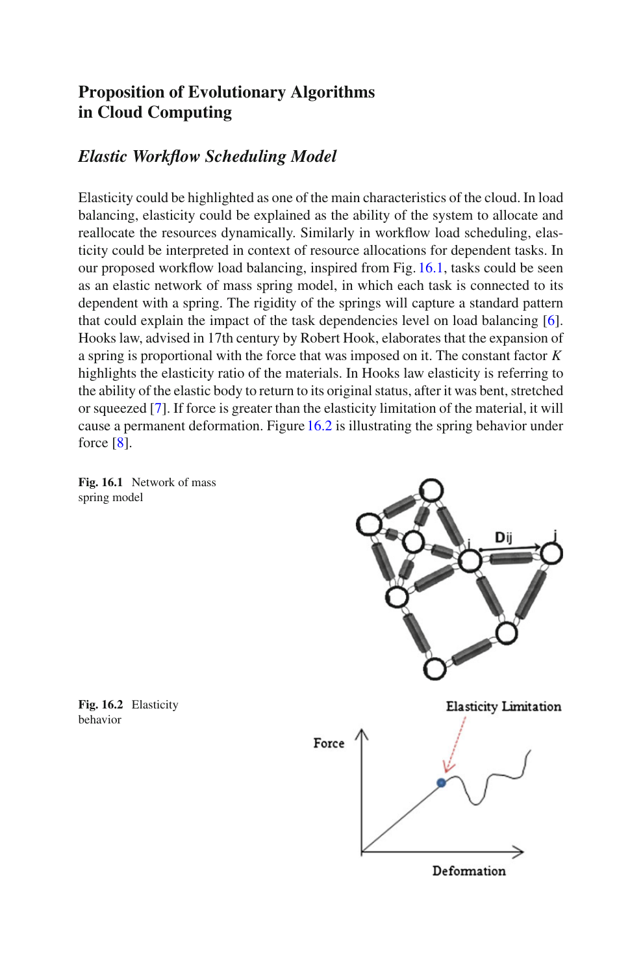# **Proposition of Evolutionary Algorithms in Cloud Computing**

## *Elastic Workflow Scheduling Model*

Elasticity could be highlighted as one of the main characteristics of the cloud. In load balancing, elasticity could be explained as the ability of the system to allocate and reallocate the resources dynamically. Similarly in workflow load scheduling, elasticity could be interpreted in context of resource allocations for dependent tasks. In our proposed workflow load balancing, inspired from Fig. [16.1,](#page-4-0) tasks could be seen as an elastic network of mass spring model, in which each task is connected to its dependent with a spring. The rigidity of the springs will capture a standard pattern that could explain the impact of the task dependencies level on load balancing [\[6](#page-8-0)]. Hooks law, advised in 17th century by Robert Hook, elaborates that the expansion of a spring is proportional with the force that was imposed on it. The constant factor *K* highlights the elasticity ratio of the materials. In Hooks law elasticity is referring to the ability of the elastic body to return to its original status, after it was bent, stretched or squeezed [\[7\]](#page-8-1). If force is greater than the elasticity limitation of the material, it will cause a permanent deformation. Figure [16.2](#page-4-1) is illustrating the spring behavior under force [\[8\]](#page-8-2).

<span id="page-4-0"></span>**Fig. 16.1** Network of mass spring model

<span id="page-4-1"></span>

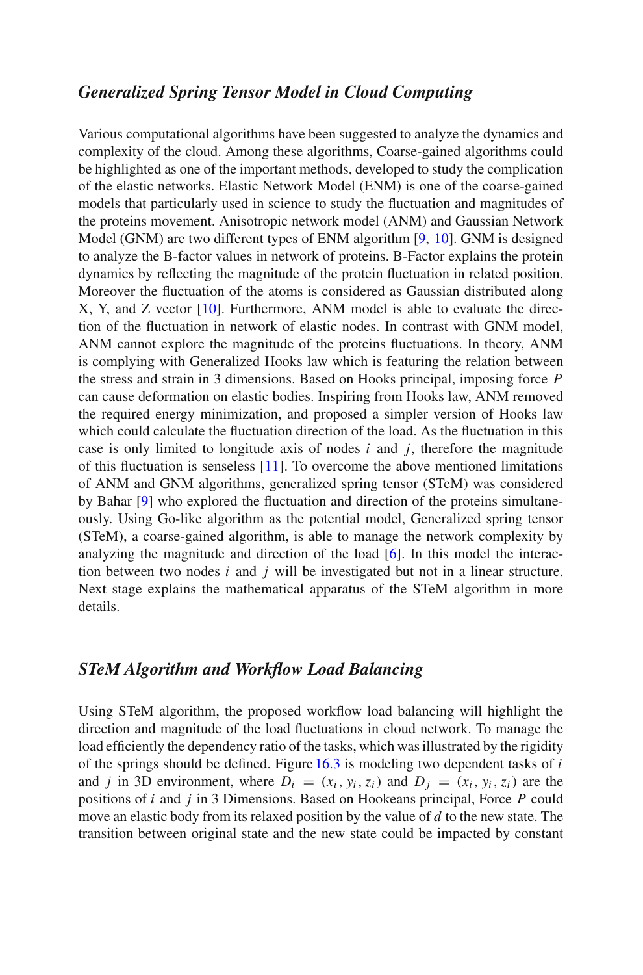### *Generalized Spring Tensor Model in Cloud Computing*

Various computational algorithms have been suggested to analyze the dynamics and complexity of the cloud. Among these algorithms, Coarse-gained algorithms could be highlighted as one of the important methods, developed to study the complication of the elastic networks. Elastic Network Model (ENM) is one of the coarse-gained models that particularly used in science to study the fluctuation and magnitudes of the proteins movement. Anisotropic network model (ANM) and Gaussian Network Model (GNM) are two different types of ENM algorithm [\[9](#page-8-3), [10\]](#page-8-4). GNM is designed to analyze the B-factor values in network of proteins. B-Factor explains the protein dynamics by reflecting the magnitude of the protein fluctuation in related position. Moreover the fluctuation of the atoms is considered as Gaussian distributed along X, Y, and Z vector [\[10\]](#page-8-4). Furthermore, ANM model is able to evaluate the direction of the fluctuation in network of elastic nodes. In contrast with GNM model, ANM cannot explore the magnitude of the proteins fluctuations. In theory, ANM is complying with Generalized Hooks law which is featuring the relation between the stress and strain in 3 dimensions. Based on Hooks principal, imposing force *P* can cause deformation on elastic bodies. Inspiring from Hooks law, ANM removed the required energy minimization, and proposed a simpler version of Hooks law which could calculate the fluctuation direction of the load. As the fluctuation in this case is only limited to longitude axis of nodes *i* and *j*, therefore the magnitude of this fluctuation is senseless [\[11\]](#page-8-5). To overcome the above mentioned limitations of ANM and GNM algorithms, generalized spring tensor (STeM) was considered by Bahar [\[9](#page-8-3)] who explored the fluctuation and direction of the proteins simultaneously. Using Go-like algorithm as the potential model, Generalized spring tensor (STeM), a coarse-gained algorithm, is able to manage the network complexity by analyzing the magnitude and direction of the load [\[6](#page-8-0)]. In this model the interaction between two nodes *i* and *j* will be investigated but not in a linear structure. Next stage explains the mathematical apparatus of the STeM algorithm in more details.

### *STeM Algorithm and Workflow Load Balancing*

Using STeM algorithm, the proposed workflow load balancing will highlight the direction and magnitude of the load fluctuations in cloud network. To manage the load efficiently the dependency ratio of the tasks, which wasillustrated by the rigidity of the springs should be defined. Figure [16.3](#page-6-0) is modeling two dependent tasks of *i* and *j* in 3D environment, where  $D_i = (x_i, y_i, z_i)$  and  $D_j = (x_i, y_i, z_i)$  are the positions of *i* and *j* in 3 Dimensions. Based on Hookeans principal, Force *P* could move an elastic body from its relaxed position by the value of *d* to the new state. The transition between original state and the new state could be impacted by constant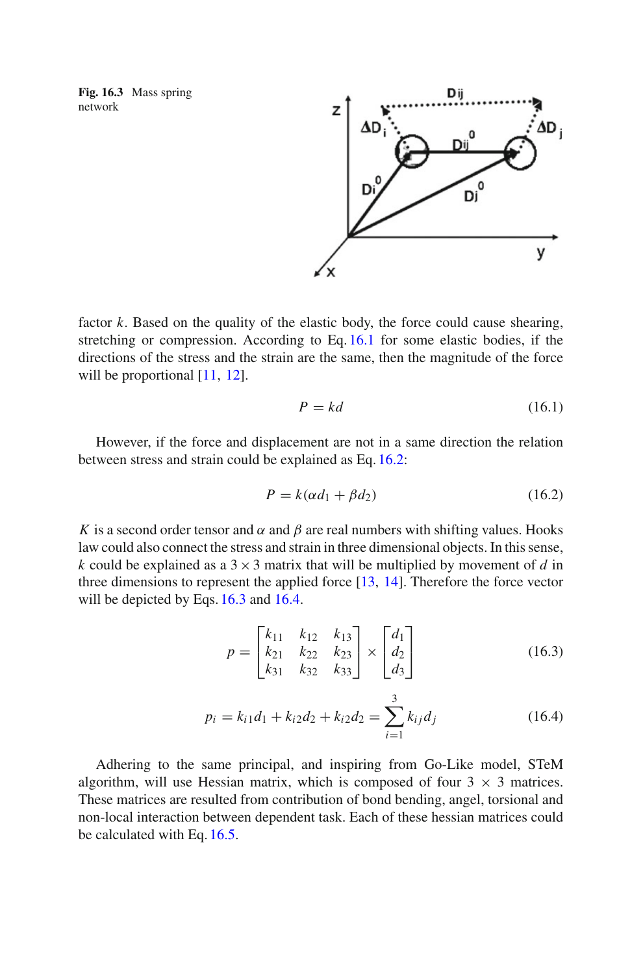<span id="page-6-0"></span>**Fig. 16.3** Mass spring network



factor *k*. Based on the quality of the elastic body, the force could cause shearing, stretching or compression. According to Eq. [16.1](#page-6-1) for some elastic bodies, if the directions of the stress and the strain are the same, then the magnitude of the force will be proportional [\[11](#page-8-5), [12](#page-8-6)].

<span id="page-6-2"></span><span id="page-6-1"></span>
$$
P = kd \tag{16.1}
$$

However, if the force and displacement are not in a same direction the relation between stress and strain could be explained as Eq. [16.2:](#page-6-2)

$$
P = k(\alpha d_1 + \beta d_2) \tag{16.2}
$$

*K* is a second order tensor and  $\alpha$  and  $\beta$  are real numbers with shifting values. Hooks law could also connect the stress and strain in three dimensional objects. In this sense, *k* could be explained as a  $3 \times 3$  matrix that will be multiplied by movement of *d* in three dimensions to represent the applied force [\[13,](#page-8-7) [14](#page-8-8)]. Therefore the force vector will be depicted by Eqs. [16.3](#page-6-3) and [16.4.](#page-6-4)

<span id="page-6-4"></span><span id="page-6-3"></span>
$$
p = \begin{bmatrix} k_{11} & k_{12} & k_{13} \\ k_{21} & k_{22} & k_{23} \\ k_{31} & k_{32} & k_{33} \end{bmatrix} \times \begin{bmatrix} d_1 \\ d_2 \\ d_3 \end{bmatrix}
$$
 (16.3)

$$
p_i = k_{i1}d_1 + k_{i2}d_2 + k_{i2}d_2 = \sum_{i=1}^{3} k_{ij}d_j
$$
 (16.4)

Adhering to the same principal, and inspiring from Go-Like model, STeM algorithm, will use Hessian matrix, which is composed of four  $3 \times 3$  matrices. These matrices are resulted from contribution of bond bending, angel, torsional and non-local interaction between dependent task. Each of these hessian matrices could be calculated with Eq. [16.5.](#page-7-5)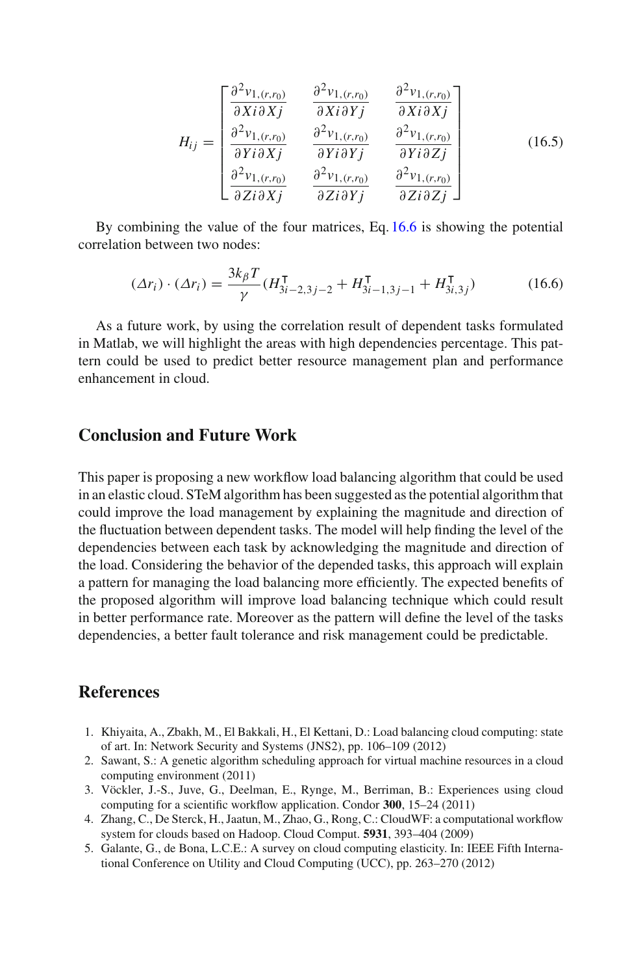<span id="page-7-5"></span>
$$
H_{ij} = \begin{bmatrix} \frac{\partial^2 v_{1,(r,r_0)}}{\partial X i \partial X j} & \frac{\partial^2 v_{1,(r,r_0)}}{\partial X i \partial Y j} & \frac{\partial^2 v_{1,(r,r_0)}}{\partial X i \partial X j} \\ \frac{\partial^2 v_{1,(r,r_0)}}{\partial Y i \partial X j} & \frac{\partial^2 v_{1,(r,r_0)}}{\partial Y i \partial Y j} & \frac{\partial^2 v_{1,(r,r_0)}}{\partial Y i \partial Z j} \\ \frac{\partial^2 v_{1,(r,r_0)}}{\partial Z i \partial X j} & \frac{\partial^2 v_{1,(r,r_0)}}{\partial Z i \partial Y j} & \frac{\partial^2 v_{1,(r,r_0)}}{\partial Z i \partial Z j} \end{bmatrix}
$$
(16.5)

By combining the value of the four matrices, Eq. [16.6](#page-7-6) is showing the potential correlation between two nodes:

<span id="page-7-6"></span>
$$
(\Delta r_i) \cdot (\Delta r_i) = \frac{3k_\beta T}{\gamma} (H_{3i-2,3j-2}^\mathsf{T} + H_{3i-1,3j-1}^\mathsf{T} + H_{3i,3j}^\mathsf{T}) \tag{16.6}
$$

As a future work, by using the correlation result of dependent tasks formulated in Matlab, we will highlight the areas with high dependencies percentage. This pattern could be used to predict better resource management plan and performance enhancement in cloud.

#### **Conclusion and Future Work**

This paper is proposing a new workflow load balancing algorithm that could be used in an elastic cloud. STeM algorithm has been suggested asthe potential algorithm that could improve the load management by explaining the magnitude and direction of the fluctuation between dependent tasks. The model will help finding the level of the dependencies between each task by acknowledging the magnitude and direction of the load. Considering the behavior of the depended tasks, this approach will explain a pattern for managing the load balancing more efficiently. The expected benefits of the proposed algorithm will improve load balancing technique which could result in better performance rate. Moreover as the pattern will define the level of the tasks dependencies, a better fault tolerance and risk management could be predictable.

## **References**

- <span id="page-7-0"></span>1. Khiyaita, A., Zbakh, M., El Bakkali, H., El Kettani, D.: Load balancing cloud computing: state of art. In: Network Security and Systems (JNS2), pp. 106–109 (2012)
- <span id="page-7-1"></span>2. Sawant, S.: A genetic algorithm scheduling approach for virtual machine resources in a cloud computing environment (2011)
- <span id="page-7-2"></span>3. Vöckler, J.-S., Juve, G., Deelman, E., Rynge, M., Berriman, B.: Experiences using cloud computing for a scientific workflow application. Condor **300**, 15–24 (2011)
- <span id="page-7-3"></span>4. Zhang, C., De Sterck, H., Jaatun, M., Zhao, G., Rong, C.: CloudWF: a computational workflow system for clouds based on Hadoop. Cloud Comput. **5931**, 393–404 (2009)
- <span id="page-7-4"></span>5. Galante, G., de Bona, L.C.E.: A survey on cloud computing elasticity. In: IEEE Fifth International Conference on Utility and Cloud Computing (UCC), pp. 263–270 (2012)